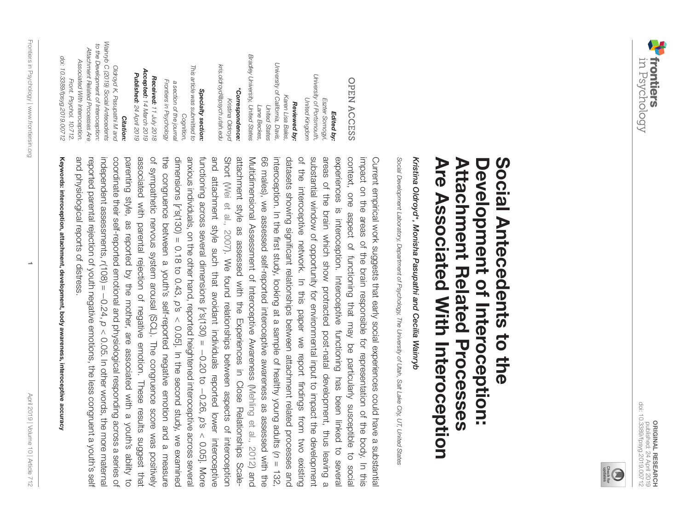

# [Are Associated With Interoception](https://www.frontiersin.org/articles/10.3389/fpsyg.2019.00712/full) Attachment Related Processes Development of Interoception: Social Antecedents to the Social Antecedents to the **Are Associated With Interoception Attachment Related Processes** Development of Interoception:

# [Kristina Oldroyd](http://loop.frontiersin.org/people/532756/overview) \*, [Monisha Pasupathi](http://loop.frontiersin.org/people/691050/overview) and Cecilia Wainryb

Social Development Laboratory, Department of Psychology, The University of Utah, Salt Lake City, UT, United States Social Development Laboratory, Department of Psychology, The University of Utah, Salt Lake City, UT, United States

Current empirical work suggests that early social experiences could have a substantial

# OPEN ACCESS

# Edited by:

University of Portsmouth, University of Portsmouth, Eszter Somogy United Kingdom Eszter Somogyi,

# United Kingdom

# Reviewed by Reviewed by:

University of California, Davis,

University of California, Davis,

interoception. In the first study, looking at a sample of healthy young adults (

66 males), we assessed self-reported interoceptive awareness as assessed with the

66 males), we assessed self-reported interoceptive awareness as assessed with the

Multidimensional Assessment of Interoceptive Awareness (

Multidimensional Assessment of Interoceptive Awareness (Mehling et al., [2012\)](#page-11-0) and

attachment style as assessed with the Experiences in Close Relationships Scale-

attachment style as assessed with the Experiences in Close Relationships Scale-

[2007\)](#page-12-0). We found relationships between aspects of interoception

and attachment style such that avoidant individuals reported lower interoceptive r's(130) =

and attachment style such that avoidant individuals reported lower interoceptive

−0.20 to

anxious individuals, on the other hand, reported heightened interoceptive across several

anxious individuals, on the other hand, reported heightened interoceptive across several

−0.26,

p's  $\wedge$ 

0.05]. More

[Mehling et al.,](#page-11-0)

n

= 132,

datasets showing significant relationships between attachment related processes and of the interoceptive network. In this paper we report findings from two existing substantial window of opportunity for environmental input to impact the development areas of the brain which show protracted post-natal development, thus leaving a experiences is interoception. Interoceptive functioning has been linked to several context, one aspect of functioning that may be particularly susceptible to social impact on the areas of the brain responsible for representation of the body. In this Current empirical work suggests that early social experiences could have a substantial

datasets showing significant relationships between attachment related processes anc

of the interoceptive network. In this paper we report findings from two existing

areas of the brain which show protracted post-natal development, thus leaving a

substantial window of opportunity for environmental input to impact the development

experiences is interoception. Interoceptive functioning has been linked to several context, one aspect of functioning that may be particularly susceptible to social impact on the areas of the brain responsible for representation of the body. In this

Lane Beckes, United States

Lane Beckes United States

Bradley University, United States

Bradley University, United States

\*Correspondence: Kristina Oldroyd

\*Correspondence:

Kristina Oldroyc

kris.oldroyd@psych.utah.edu

kris.oldroyd@psych.utah.edu

Short (

[Wei et al.,](#page-12-0)

Specialty section: This article was submitted to

Specialty section:

This article was submitted to

functioning across several dimensions [

Cognition,

dimensions [

. — .

 $\text{S}(130) = 0.18$  to 0.43,

p's  $\wedge$ 

0.05]. In the second study, we examined

Frontiers in Psychology a section of the journal

Frontiers in Psychology a section of the journal

Received: 11 July 2018 11 July 2018

Accepted: 14 March 2019 14 March 2019 Published: 24 April 2019 24 April 2019 Citation:

Oldroyd K, Pasupathi M and Wainryb C (2019) Social Antecedents to the Development of Interoception: Attachment Related Processes Are Associated With Interoception. Front. Psychol. 10:712. doi: 10.3389/fpsyg.2019.00712 [10.3389/fpsyg.2019.00712](https://doi.org/10.3389/fpsyg.2019.00712)

Oldroyd K, Pasupathi M and

Wainryb C (2019) Social Antecedents to the Development of Interoception: Attachment Related Processes Are

independent assessments,

and physiological reports of distress.

and physiological reports of distress

Associated With Interoception.

Front. Psychol. 10:712

r(108) =

−0.24,

Keywords: interoception, attachment, development, body awareness, interoceptive accuracy

Keywords: interoception, attachment, development, body awareness, interoceptive accuracy

[Frontiers in Psychology](https://www.frontiersin.org/journals/psychology/)

Frontiers in Psychology | www.frontiersin.org

[www.frontiersin.org](https://www.frontiersin.org/)

 $\rightarrow$ 

April

2019 | Volume 10 | [Article 712](https://www.frontiersin.org/journals/psychology#articles)

p  $\wedge$ 

reported parental rejection of youth negative emotions, the less congruent a youth's self

reported parental rejection of youth negative emotions, the less congruent a youth's self

0.05. In other words, the more maternal

coordinate their self-reported emotional and physiological responding across a series of parenting style, as reported by the mother, are associated with a youth's ability to associated with parental rejection of negative emotion. These results suggest that of sympathetic nervous system arousal (SCL). The congruence score was positively the congruence between a youth's self-reported negative emotion and a measure

associated with parental rejection of negative emotion. These results suggest that of sympathetic nervous system arousal (SCL). The congruence score was positively the congruence between a youth's self-reported negative emotion and a measure

parenting style, as reported by the mother, are associated with a youth's ability to

coordinate their self-reported emotional and physiological responding across a series of

# Karen Lisa Bales Karen Lisa Bales,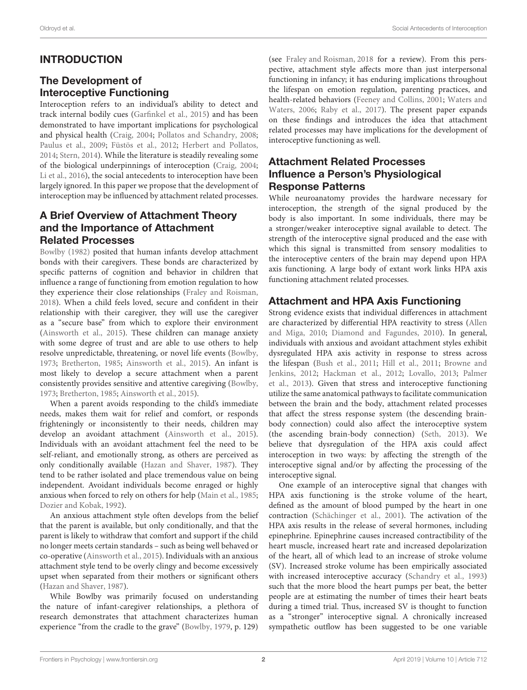# INTRODUCTION

# The Development of Interoceptive Functioning

Interoception refers to an individual's ability to detect and track internal bodily cues [\(Garfinkel et al.,](#page-10-0) [2015\)](#page-10-0) and has been demonstrated to have important implications for psychological and physical health [\(Craig,](#page-10-1) [2004;](#page-10-1) [Pollatos and Schandry,](#page-11-1) [2008;](#page-11-1) [Paulus et al.,](#page-11-2) [2009;](#page-11-2) [Füstös et al.,](#page-10-2) [2012;](#page-10-2) [Herbert and Pollatos,](#page-11-3) [2014;](#page-11-3) [Stern,](#page-11-4) [2014\)](#page-11-4). While the literature is steadily revealing some of the biological underpinnings of interoception [\(Craig,](#page-10-1) [2004;](#page-10-1) [Li et al.,](#page-11-5) [2016\)](#page-11-5), the social antecedents to interoception have been largely ignored. In this paper we propose that the development of interoception may be influenced by attachment related processes.

# A Brief Overview of Attachment Theory and the Importance of Attachment Related Processes

[Bowlby](#page-10-3) [\(1982\)](#page-10-3) posited that human infants develop attachment bonds with their caregivers. These bonds are characterized by specific patterns of cognition and behavior in children that influence a range of functioning from emotion regulation to how they experience their close relationships [\(Fraley and Roisman,](#page-10-4) [2018\)](#page-10-4). When a child feels loved, secure and confident in their relationship with their caregiver, they will use the caregiver as a "secure base" from which to explore their environment [\(Ainsworth et al.,](#page-10-5) [2015\)](#page-10-5). These children can manage anxiety with some degree of trust and are able to use others to help resolve unpredictable, threatening, or novel life events [\(Bowlby,](#page-10-6) [1973;](#page-10-6) [Bretherton,](#page-10-7) [1985;](#page-10-7) [Ainsworth et al.,](#page-10-5) [2015\)](#page-10-5). An infant is most likely to develop a secure attachment when a parent consistently provides sensitive and attentive caregiving [\(Bowlby,](#page-10-6) [1973;](#page-10-6) [Bretherton,](#page-10-7) [1985;](#page-10-7) [Ainsworth et al.,](#page-10-5) [2015\)](#page-10-5).

When a parent avoids responding to the child's immediate needs, makes them wait for relief and comfort, or responds frighteningly or inconsistently to their needs, children may develop an avoidant attachment [\(Ainsworth et al.,](#page-10-5) [2015\)](#page-10-5). Individuals with an avoidant attachment feel the need to be self-reliant, and emotionally strong, as others are perceived as only conditionally available [\(Hazan and Shaver,](#page-10-8) [1987\)](#page-10-8). They tend to be rather isolated and place tremendous value on being independent. Avoidant individuals become enraged or highly anxious when forced to rely on others for help [\(Main et al.,](#page-11-6) [1985;](#page-11-6) [Dozier and Kobak,](#page-10-9) [1992\)](#page-10-9).

An anxious attachment style often develops from the belief that the parent is available, but only conditionally, and that the parent is likely to withdraw that comfort and support if the child no longer meets certain standards – such as being well behaved or co-operative [\(Ainsworth et al.,](#page-10-5) [2015\)](#page-10-5). Individuals with an anxious attachment style tend to be overly clingy and become excessively upset when separated from their mothers or significant others [\(Hazan and Shaver,](#page-10-8) [1987\)](#page-10-8).

While Bowlby was primarily focused on understanding the nature of infant-caregiver relationships, a plethora of research demonstrates that attachment characterizes human experience "from the cradle to the grave" [\(Bowlby,](#page-10-10) [1979,](#page-10-10) p. 129)

(see [Fraley and Roisman,](#page-10-4) [2018](#page-10-4) for a review). From this perspective, attachment style affects more than just interpersonal functioning in infancy; it has enduring implications throughout the lifespan on emotion regulation, parenting practices, and health-related behaviors [\(Feeney and Collins,](#page-10-11) [2001;](#page-10-11) [Waters and](#page-12-1) [Waters,](#page-12-1) [2006;](#page-12-1) [Raby et al.,](#page-11-7) [2017\)](#page-11-7). The present paper expands on these findings and introduces the idea that attachment related processes may have implications for the development of interoceptive functioning as well.

# Attachment Related Processes Influence a Person's Physiological Response Patterns

While neuroanatomy provides the hardware necessary for interoception, the strength of the signal produced by the body is also important. In some individuals, there may be a stronger/weaker interoceptive signal available to detect. The strength of the interoceptive signal produced and the ease with which this signal is transmitted from sensory modalities to the interoceptive centers of the brain may depend upon HPA axis functioning. A large body of extant work links HPA axis functioning attachment related processes.

# Attachment and HPA Axis Functioning

Strong evidence exists that individual differences in attachment are characterized by differential HPA reactivity to stress [\(Allen](#page-10-12) [and Miga,](#page-10-12) [2010;](#page-10-12) [Diamond and Fagundes,](#page-10-13) [2010\)](#page-10-13). In general, individuals with anxious and avoidant attachment styles exhibit dysregulated HPA axis activity in response to stress across the lifespan [\(Bush et al.,](#page-10-14) [2011;](#page-10-14) [Hill et al.,](#page-11-8) [2011;](#page-11-8) [Browne and](#page-10-15) [Jenkins,](#page-10-15) [2012;](#page-10-15) [Hackman et al.,](#page-10-16) [2012;](#page-10-16) [Lovallo,](#page-11-9) [2013;](#page-11-9) [Palmer](#page-11-10) [et al.,](#page-11-10) [2013\)](#page-11-10). Given that stress and interoceptive functioning utilize the same anatomical pathways to facilitate communication between the brain and the body, attachment related processes that affect the stress response system (the descending brainbody connection) could also affect the interoceptive system (the ascending brain-body connection) [\(Seth,](#page-11-11) [2013\)](#page-11-11). We believe that dysregulation of the HPA axis could affect interoception in two ways: by affecting the strength of the interoceptive signal and/or by affecting the processing of the interoceptive signal.

One example of an interoceptive signal that changes with HPA axis functioning is the stroke volume of the heart, defined as the amount of blood pumped by the heart in one contraction [\(Schächinger et al.,](#page-11-12) [2001\)](#page-11-12). The activation of the HPA axis results in the release of several hormones, including epinephrine. Epinephrine causes increased contractibility of the heart muscle, increased heart rate and increased depolarization of the heart, all of which lead to an increase of stroke volume (SV). Increased stroke volume has been empirically associated with increased interoceptive accuracy [\(Schandry et al.,](#page-11-13) [1993\)](#page-11-13) such that the more blood the heart pumps per beat, the better people are at estimating the number of times their heart beats during a timed trial. Thus, increased SV is thought to function as a "stronger" interoceptive signal. A chronically increased sympathetic outflow has been suggested to be one variable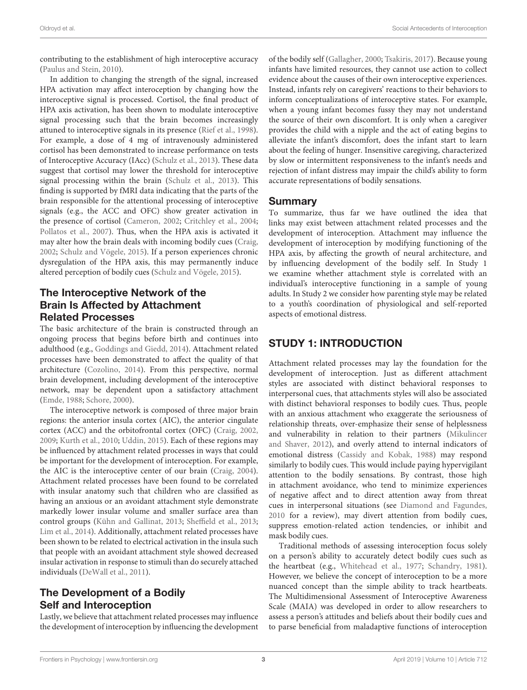contributing to the establishment of high interoceptive accuracy [\(Paulus and Stein,](#page-11-14) [2010\)](#page-11-14).

In addition to changing the strength of the signal, increased HPA activation may affect interoception by changing how the interoceptive signal is processed. Cortisol, the final product of HPA axis activation, has been shown to modulate interoceptive signal processing such that the brain becomes increasingly attuned to interoceptive signals in its presence [\(Rief et al.,](#page-11-15) [1998\)](#page-11-15). For example, a dose of 4 mg of intravenously administered cortisol has been demonstrated to increase performance on tests of Interoceptive Accuracy (IAcc) [\(Schulz et al.,](#page-11-16) [2013\)](#page-11-16). These data suggest that cortisol may lower the threshold for interoceptive signal processing within the brain [\(Schulz et al.,](#page-11-16) [2013\)](#page-11-16). This finding is supported by fMRI data indicating that the parts of the brain responsible for the attentional processing of interoceptive signals (e.g., the ACC and OFC) show greater activation in the presence of cortisol [\(Cameron,](#page-10-17) [2002;](#page-10-17) [Critchley et al.,](#page-10-18) [2004;](#page-10-18) [Pollatos et al.,](#page-11-17) [2007\)](#page-11-17). Thus, when the HPA axis is activated it may alter how the brain deals with incoming bodily cues [\(Craig,](#page-10-19) [2002;](#page-10-19) [Schulz and Vögele,](#page-11-18) [2015\)](#page-11-18). If a person experiences chronic dysregulation of the HPA axis, this may permanently induce altered perception of bodily cues [\(Schulz and Vögele,](#page-11-18) [2015\)](#page-11-18).

# The Interoceptive Network of the Brain Is Affected by Attachment Related Processes

The basic architecture of the brain is constructed through an ongoing process that begins before birth and continues into adulthood (e.g., [Goddings and Giedd,](#page-10-20) [2014\)](#page-10-20). Attachment related processes have been demonstrated to affect the quality of that architecture [\(Cozolino,](#page-10-21) [2014\)](#page-10-21). From this perspective, normal brain development, including development of the interoceptive network, may be dependent upon a satisfactory attachment [\(Emde,](#page-10-22) [1988;](#page-10-22) [Schore,](#page-11-19) [2000\)](#page-11-19).

The interoceptive network is composed of three major brain regions: the anterior insula cortex (AIC), the anterior cingulate cortex (ACC) and the orbitofrontal cortex (OFC) [\(Craig,](#page-10-19) [2002,](#page-10-19) [2009;](#page-10-23) [Kurth et al.,](#page-11-20) [2010;](#page-11-20) [Uddin,](#page-12-2) [2015\)](#page-12-2). Each of these regions may be influenced by attachment related processes in ways that could be important for the development of interoception. For example, the AIC is the interoceptive center of our brain [\(Craig,](#page-10-1) [2004\)](#page-10-1). Attachment related processes have been found to be correlated with insular anatomy such that children who are classified as having an anxious or an avoidant attachment style demonstrate markedly lower insular volume and smaller surface area than control groups [\(Kühn and Gallinat,](#page-11-21) [2013;](#page-11-21) [Sheffield et al.,](#page-11-22) [2013;](#page-11-22) [Lim et al.,](#page-11-23) [2014\)](#page-11-23). Additionally, attachment related processes have been shown to be related to electrical activation in the insula such that people with an avoidant attachment style showed decreased insular activation in response to stimuli than do securely attached individuals [\(DeWall et al.,](#page-10-24) [2011\)](#page-10-24).

# The Development of a Bodily Self and Interoception

Lastly, we believe that attachment related processes may influence the development of interoception by influencing the development of the bodily self [\(Gallagher,](#page-10-25) [2000;](#page-10-25) [Tsakiris,](#page-12-3) [2017\)](#page-12-3). Because young infants have limited resources, they cannot use action to collect evidence about the causes of their own interoceptive experiences. Instead, infants rely on caregivers' reactions to their behaviors to inform conceptualizations of interoceptive states. For example, when a young infant becomes fussy they may not understand the source of their own discomfort. It is only when a caregiver provides the child with a nipple and the act of eating begins to alleviate the infant's discomfort, does the infant start to learn about the feeling of hunger. Insensitive caregiving, characterized by slow or intermittent responsiveness to the infant's needs and rejection of infant distress may impair the child's ability to form accurate representations of bodily sensations.

# Summary

To summarize, thus far we have outlined the idea that links may exist between attachment related processes and the development of interoception. Attachment may influence the development of interoception by modifying functioning of the HPA axis, by affecting the growth of neural architecture, and by influencing development of the bodily self. In Study 1 we examine whether attachment style is correlated with an individual's interoceptive functioning in a sample of young adults. In Study 2 we consider how parenting style may be related to a youth's coordination of physiological and self-reported aspects of emotional distress.

# STUDY 1: INTRODUCTION

Attachment related processes may lay the foundation for the development of interoception. Just as different attachment styles are associated with distinct behavioral responses to interpersonal cues, that attachments styles will also be associated with distinct behavioral responses to bodily cues. Thus, people with an anxious attachment who exaggerate the seriousness of relationship threats, over-emphasize their sense of helplessness and vulnerability in relation to their partners [\(Mikulincer](#page-11-24) [and Shaver,](#page-11-24) [2012\)](#page-11-24), and overly attend to internal indicators of emotional distress [\(Cassidy and Kobak,](#page-10-26) [1988\)](#page-10-26) may respond similarly to bodily cues. This would include paying hypervigilant attention to the bodily sensations. By contrast, those high in attachment avoidance, who tend to minimize experiences of negative affect and to direct attention away from threat cues in interpersonal situations (see [Diamond and Fagundes,](#page-10-13) [2010](#page-10-13) for a review), may divert attention from bodily cues, suppress emotion-related action tendencies, or inhibit and mask bodily cues.

Traditional methods of assessing interoception focus solely on a person's ability to accurately detect bodily cues such as the heartbeat (e.g., [Whitehead et al.,](#page-12-4) [1977;](#page-12-4) [Schandry,](#page-11-25) [1981\)](#page-11-25). However, we believe the concept of interoception to be a more nuanced concept than the simple ability to track heartbeats. The Multidimensional Assessment of Interoceptive Awareness Scale (MAIA) was developed in order to allow researchers to assess a person's attitudes and beliefs about their bodily cues and to parse beneficial from maladaptive functions of interoception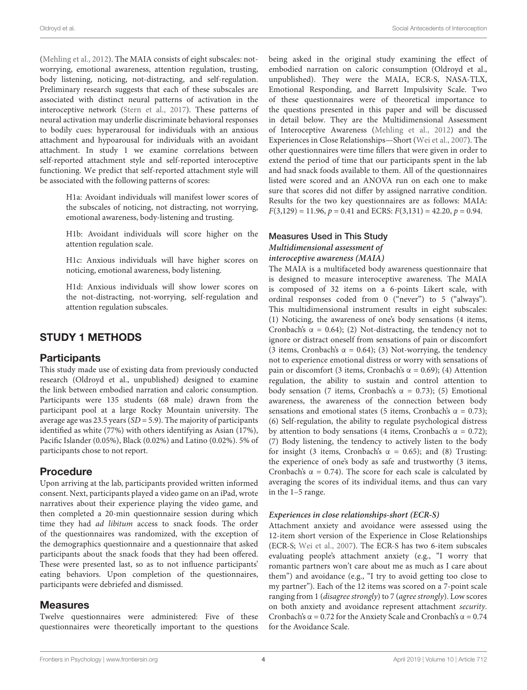[\(Mehling et al.,](#page-11-26) [2012\)](#page-11-26). The MAIA consists of eight subscales: notworrying, emotional awareness, attention regulation, trusting, body listening, noticing, not-distracting, and self-regulation. Preliminary research suggests that each of these subscales are associated with distinct neural patterns of activation in the interoceptive network [\(Stern et al.,](#page-11-27) [2017\)](#page-11-27). These patterns of neural activation may underlie discriminate behavioral responses to bodily cues: hyperarousal for individuals with an anxious attachment and hypoarousal for individuals with an avoidant attachment. In study 1 we examine correlations between self-reported attachment style and self-reported interoceptive functioning. We predict that self-reported attachment style will be associated with the following patterns of scores:

> H1a: Avoidant individuals will manifest lower scores of the subscales of noticing, not distracting, not worrying, emotional awareness, body-listening and trusting.

> H1b: Avoidant individuals will score higher on the attention regulation scale.

> H1c: Anxious individuals will have higher scores on noticing, emotional awareness, body listening.

> H1d: Anxious individuals will show lower scores on the not-distracting, not-worrying, self-regulation and attention regulation subscales.

# STUDY 1 METHODS

# **Participants**

This study made use of existing data from previously conducted research (Oldroyd et al., unpublished) designed to examine the link between embodied narration and caloric consumption. Participants were 135 students (68 male) drawn from the participant pool at a large Rocky Mountain university. The average age was 23.5 years ( $SD = 5.9$ ). The majority of participants identified as white (77%) with others identifying as Asian (17%), Pacific Islander (0.05%), Black (0.02%) and Latino (0.02%). 5% of participants chose to not report.

# Procedure

Upon arriving at the lab, participants provided written informed consent. Next, participants played a video game on an iPad, wrote narratives about their experience playing the video game, and then completed a 20-min questionnaire session during which time they had ad libitum access to snack foods. The order of the questionnaires was randomized, with the exception of the demographics questionnaire and a questionnaire that asked participants about the snack foods that they had been offered. These were presented last, so as to not influence participants' eating behaviors. Upon completion of the questionnaires, participants were debriefed and dismissed.

# **Measures**

Twelve questionnaires were administered: Five of these questionnaires were theoretically important to the questions being asked in the original study examining the effect of embodied narration on caloric consumption (Oldroyd et al., unpublished). They were the MAIA, ECR-S, NASA-TLX, Emotional Responding, and Barrett Impulsivity Scale. Two of these questionnaires were of theoretical importance to the questions presented in this paper and will be discussed in detail below. They are the Multidimensional Assessment of Interoceptive Awareness [\(Mehling et al.,](#page-11-26) [2012\)](#page-11-26) and the Experiences in Close Relationships—Short [\(Wei et al.,](#page-12-5) [2007\)](#page-12-5). The other questionnaires were time fillers that were given in order to extend the period of time that our participants spent in the lab and had snack foods available to them. All of the questionnaires listed were scored and an ANOVA run on each one to make sure that scores did not differ by assigned narrative condition. Results for the two key questionnaires are as follows: MAIA:  $F(3,129) = 11.96, p = 0.41$  and ECRS:  $F(3,131) = 42.20, p = 0.94$ .

# Measures Used in This Study **Multidimensional assessment of interoceptive awareness (MAIA)**

The MAIA is a multifaceted body awareness questionnaire that is designed to measure interoceptive awareness. The MAIA is composed of 32 items on a 6-points Likert scale, with ordinal responses coded from 0 ("never") to 5 ("always"). This multidimensional instrument results in eight subscales: (1) Noticing, the awareness of one's body sensations (4 items, Cronbach's  $\alpha = 0.64$ ); (2) Not-distracting, the tendency not to ignore or distract oneself from sensations of pain or discomfort (3 items, Cronbach's  $\alpha = 0.64$ ); (3) Not-worrying, the tendency not to experience emotional distress or worry with sensations of pain or discomfort (3 items, Cronbach's  $\alpha = 0.69$ ); (4) Attention regulation, the ability to sustain and control attention to body sensation (7 items, Cronbach's  $\alpha = 0.73$ ); (5) Emotional awareness, the awareness of the connection between body sensations and emotional states (5 items, Cronbach's  $\alpha = 0.73$ ); (6) Self-regulation, the ability to regulate psychological distress by attention to body sensations (4 items, Cronbach's  $\alpha = 0.72$ ); (7) Body listening, the tendency to actively listen to the body for insight (3 items, Cronbach's  $\alpha = 0.65$ ); and (8) Trusting: the experience of one's body as safe and trustworthy (3 items, Cronbach's  $\alpha = 0.74$ ). The score for each scale is calculated by averaging the scores of its individual items, and thus can vary in the 1–5 range.

# **Experiences in close relationships-short (ECR-S)**

Attachment anxiety and avoidance were assessed using the 12-item short version of the Experience in Close Relationships (ECR-S; [Wei et al.,](#page-12-5) [2007\)](#page-12-5). The ECR-S has two 6-item subscales evaluating people's attachment anxiety (e.g., "I worry that romantic partners won't care about me as much as I care about them") and avoidance (e.g., "I try to avoid getting too close to my partner"). Each of the 12 items was scored on a 7-point scale ranging from 1 (disagree strongly) to 7 (agree strongly). Low scores on both anxiety and avoidance represent attachment security. Cronbach's  $\alpha$  = 0.72 for the Anxiety Scale and Cronbach's  $\alpha$  = 0.74 for the Avoidance Scale.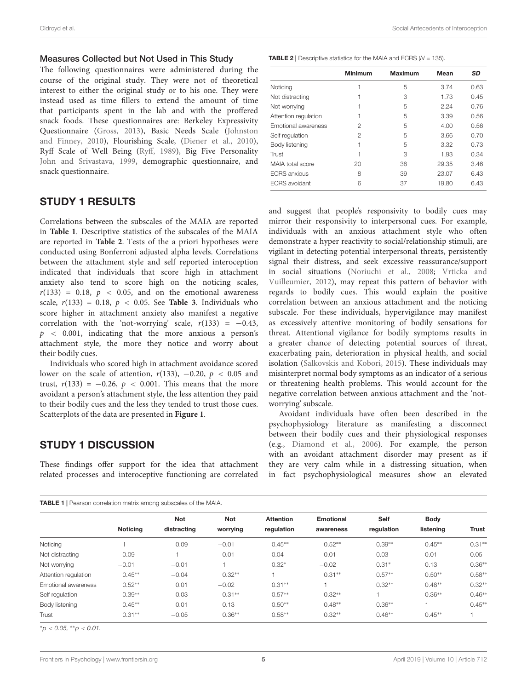## Measures Collected but Not Used in This Study

The following questionnaires were administered during the course of the original study. They were not of theoretical interest to either the original study or to his one. They were instead used as time fillers to extend the amount of time that participants spent in the lab and with the proffered snack foods. These questionnaires are: Berkeley Expressivity Questionnaire [\(Gross,](#page-10-27) [2013\)](#page-10-27), Basic Needs Scale [\(Johnston](#page-11-28) [and Finney,](#page-11-28) [2010\)](#page-11-28), Flourishing Scale, [\(Diener et al.,](#page-10-28) [2010\)](#page-10-28), Ryff Scale of Well Being [\(Ryff,](#page-11-29) [1989\)](#page-11-29), Big Five Personality [John and Srivastava,](#page-11-30) [1999,](#page-11-30) demographic questionnaire, and snack questionnaire.

# STUDY 1 RESULTS

Correlations between the subscales of the MAIA are reported in **[Table 1](#page-4-0)**. Descriptive statistics of the subscales of the MAIA are reported in **[Table 2](#page-4-1)**. Tests of the a priori hypotheses were conducted using Bonferroni adjusted alpha levels. Correlations between the attachment style and self reported interoception indicated that individuals that score high in attachment anxiety also tend to score high on the noticing scales,  $r(133) = 0.18$ ,  $p < 0.05$ , and on the emotional awareness scale,  $r(133) = 0.18$ ,  $p < 0.05$ . See **[Table 3](#page-5-0)**. Individuals who score higher in attachment anxiety also manifest a negative correlation with the 'not-worrying' scale,  $r(133) = -0.43$ ,  $p \sim 0.001$ , indicating that the more anxious a person's attachment style, the more they notice and worry about their bodily cues.

Individuals who scored high in attachment avoidance scored lower on the scale of attention,  $r(133)$ ,  $-0.20$ ,  $p < 0.05$  and trust,  $r(133) = -0.26$ ,  $p < 0.001$ . This means that the more avoidant a person's attachment style, the less attention they paid to their bodily cues and the less they tended to trust those cues. Scatterplots of the data are presented in **[Figure 1](#page-5-1)**.

# STUDY 1 DISCUSSION

These findings offer support for the idea that attachment related processes and interoceptive functioning are correlated

<span id="page-4-1"></span>

|                      | <b>Minimum</b> | <b>Maximum</b> | Mean  | <b>SD</b> |
|----------------------|----------------|----------------|-------|-----------|
| Noticing             |                | 5              | 3.74  | 0.63      |
| Not distracting      |                | 3              | 1.73  | 0.45      |
| Not worrying         |                | 5              | 2.24  | 0.76      |
| Attention regulation |                | 5              | 3.39  | 0.56      |
| Emotional awareness  | 2              | 5              | 4.00  | 0.56      |
| Self regulation      | 2              | 5              | 3.66  | 0.70      |
| Body listening       |                | 5              | 3.32  | 0.73      |
| Trust                |                | 3              | 1.93  | 0.34      |
| MAIA total score     | 20             | 38             | 29.35 | 3.46      |
| <b>ECRS</b> anxious  | 8              | 39             | 23.07 | 6.43      |
| <b>ECRS</b> avoidant | 6              | 37             | 19.80 | 6.43      |

and suggest that people's responsivity to bodily cues may mirror their responsivity to interpersonal cues. For example, individuals with an anxious attachment style who often demonstrate a hyper reactivity to social/relationship stimuli, are vigilant in detecting potential interpersonal threats, persistently signal their distress, and seek excessive reassurance/support in social situations [\(Noriuchi et al.,](#page-11-31) [2008;](#page-11-31) [Vrticka and](#page-12-6) [Vuilleumier,](#page-12-6) [2012\)](#page-12-6), may repeat this pattern of behavior with regards to bodily cues. This would explain the positive correlation between an anxious attachment and the noticing subscale. For these individuals, hypervigilance may manifest as excessively attentive monitoring of bodily sensations for threat. Attentional vigilance for bodily symptoms results in a greater chance of detecting potential sources of threat, exacerbating pain, deterioration in physical health, and social isolation [\(Salkovskis and Kobori,](#page-11-32) [2015\)](#page-11-32). These individuals may misinterpret normal body symptoms as an indicator of a serious or threatening health problems. This would account for the negative correlation between anxious attachment and the 'notworrying' subscale.

Avoidant individuals have often been described in the psychophysiology literature as manifesting a disconnect between their bodily cues and their physiological responses (e.g., [Diamond et al.,](#page-10-29) [2006\)](#page-10-29). For example, the person with an avoidant attachment disorder may present as if they are very calm while in a distressing situation, when in fact psychophysiological measures show an elevated

<span id="page-4-0"></span>

|  | <b>TABLE 1</b>   Pearson correlation matrix among subscales of the MAIA. |  |  |  |
|--|--------------------------------------------------------------------------|--|--|--|
|  |                                                                          |  |  |  |

|                      |           | <b>Not</b>  | Not      | <b>Attention</b> | <b>Emotional</b> | <b>Self</b> | <b>Body</b> |              |
|----------------------|-----------|-------------|----------|------------------|------------------|-------------|-------------|--------------|
|                      | Noticina  | distracting | worrying | regulation       | awareness        | regulation  | listening   | <b>Trust</b> |
| Noticing             |           | 0.09        | $-0.01$  | $0.45**$         | $0.52**$         | $0.39**$    | $0.45**$    | $0.31**$     |
| Not distracting      | 0.09      |             | $-0.01$  | $-0.04$          | 0.01             | $-0.03$     | 0.01        | $-0.05$      |
| Not worrying         | $-0.01$   | $-0.01$     |          | $0.32*$          | $-0.02$          | $0.31*$     | 0.13        | $0.36**$     |
| Attention regulation | $0.45**$  | $-0.04$     | $0.32**$ |                  | $0.31**$         | $0.57**$    | $0.50**$    | $0.58**$     |
| Emotional awareness  | $0.52***$ | 0.01        | $-0.02$  | $0.31**$         |                  | $0.32**$    | $0.48**$    | $0.32**$     |
| Self regulation      | $0.39**$  | $-0.03$     | $0.31**$ | $0.57**$         | $0.32**$         |             | $0.36**$    | $0.46**$     |
| Body listening       | $0.45***$ | 0.01        | 0.13     | $0.50**$         | $0.48**$         | $0.36**$    |             | $0.45***$    |
| Trust                | $0.31**$  | $-0.05$     | $0.36**$ | $0.58**$         | $0.32***$        | $0.46**$    | $0.45**$    |              |

 $*_{\mathcal{D}}$  < 0.05,  $*_{\mathcal{D}}$  < 0.01.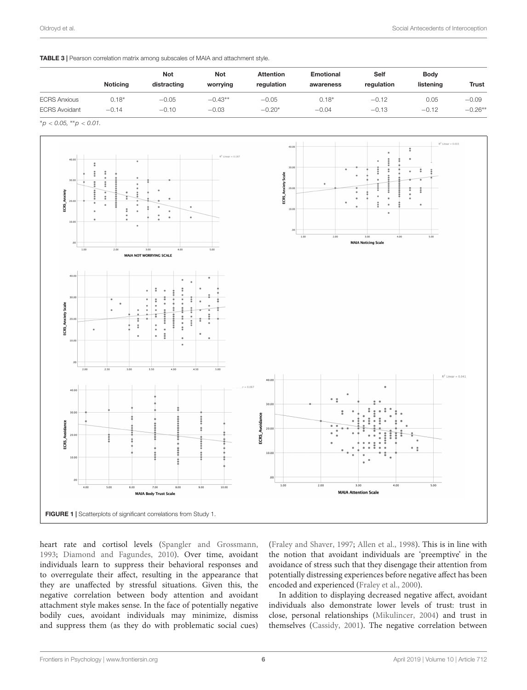<span id="page-5-0"></span>TABLE 3 | Pearson correlation matrix among subscales of MAIA and attachment style.

|                      |                 | <b>Not</b>  | Not       | <b>Attention</b> | Emotional | <b>Self</b> | Body      |           |
|----------------------|-----------------|-------------|-----------|------------------|-----------|-------------|-----------|-----------|
|                      | <b>Noticing</b> | distracting | worrving  | regulation       | awareness | regulation  | listening | Trust     |
| <b>ECRS Anxious</b>  | $0.18*$         | $-0.05$     | $-0.43**$ | $-0.05$          | $0.18*$   | $-0.12$     | 0.05      | $-0.09$   |
| <b>ECRS Avoidant</b> | $-0.14$         | $-0.10$     | $-0.03$   | $-0.20*$         | $-0.04$   | $-0.13$     | $-0.12$   | $-0.26**$ |

 $*p < 0.05, **p < 0.01$ .



<span id="page-5-1"></span>heart rate and cortisol levels [\(Spangler and Grossmann,](#page-11-33) [1993;](#page-11-33) [Diamond and Fagundes,](#page-10-13) [2010\)](#page-10-13). Over time, avoidant individuals learn to suppress their behavioral responses and to overregulate their affect, resulting in the appearance that they are unaffected by stressful situations. Given this, the negative correlation between body attention and avoidant attachment style makes sense. In the face of potentially negative bodily cues, avoidant individuals may minimize, dismiss and suppress them (as they do with problematic social cues)

[\(Fraley and Shaver,](#page-10-30) [1997;](#page-10-30) [Allen et al.,](#page-10-31) [1998\)](#page-10-31). This is in line with the notion that avoidant individuals are 'preemptive' in the avoidance of stress such that they disengage their attention from potentially distressing experiences before negative affect has been encoded and experienced [\(Fraley et al.,](#page-10-32) [2000\)](#page-10-32).

In addition to displaying decreased negative affect, avoidant individuals also demonstrate lower levels of trust: trust in close, personal relationships [\(Mikulincer,](#page-11-34) [2004\)](#page-11-34) and trust in themselves [\(Cassidy,](#page-10-33) [2001\)](#page-10-33). The negative correlation between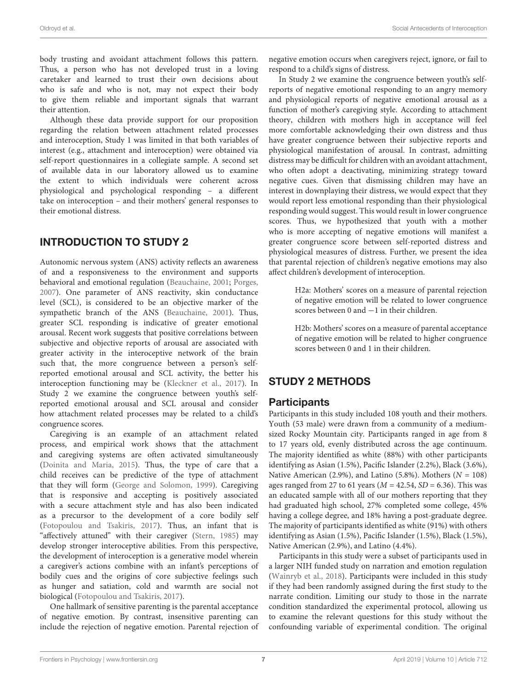body trusting and avoidant attachment follows this pattern. Thus, a person who has not developed trust in a loving caretaker and learned to trust their own decisions about who is safe and who is not, may not expect their body to give them reliable and important signals that warrant their attention.

Although these data provide support for our proposition regarding the relation between attachment related processes and interoception, Study 1 was limited in that both variables of interest (e.g., attachment and interoception) were obtained via self-report questionnaires in a collegiate sample. A second set of available data in our laboratory allowed us to examine the extent to which individuals were coherent across physiological and psychological responding – a different take on interoception – and their mothers' general responses to their emotional distress.

# INTRODUCTION TO STUDY 2

Autonomic nervous system (ANS) activity reflects an awareness of and a responsiveness to the environment and supports behavioral and emotional regulation [\(Beauchaine,](#page-10-34) [2001;](#page-10-34) [Porges,](#page-11-35) [2007\)](#page-11-35). One parameter of ANS reactivity, skin conductance level (SCL), is considered to be an objective marker of the sympathetic branch of the ANS [\(Beauchaine,](#page-10-34) [2001\)](#page-10-34). Thus, greater SCL responding is indicative of greater emotional arousal. Recent work suggests that positive correlations between subjective and objective reports of arousal are associated with greater activity in the interoceptive network of the brain such that, the more congruence between a person's selfreported emotional arousal and SCL activity, the better his interoception functioning may be [\(Kleckner et al.,](#page-11-36) [2017\)](#page-11-36). In Study 2 we examine the congruence between youth's selfreported emotional arousal and SCL arousal and consider how attachment related processes may be related to a child's congruence scores.

Caregiving is an example of an attachment related process, and empirical work shows that the attachment and caregiving systems are often activated simultaneously [\(Doinita and Maria,](#page-10-35) [2015\)](#page-10-35). Thus, the type of care that a child receives can be predictive of the type of attachment that they will form [\(George and Solomon,](#page-10-36) [1999\)](#page-10-36). Caregiving that is responsive and accepting is positively associated with a secure attachment style and has also been indicated as a precursor to the development of a core bodily self [\(Fotopoulou and Tsakiris,](#page-10-37) [2017\)](#page-10-37). Thus, an infant that is "affectively attuned" with their caregiver [\(Stern,](#page-11-37) [1985\)](#page-11-37) may develop stronger interoceptive abilities. From this perspective, the development of interoception is a generative model wherein a caregiver's actions combine with an infant's perceptions of bodily cues and the origins of core subjective feelings such as hunger and satiation, cold and warmth are social not biological [\(Fotopoulou and Tsakiris,](#page-10-37) [2017\)](#page-10-37).

One hallmark of sensitive parenting is the parental acceptance of negative emotion. By contrast, insensitive parenting can include the rejection of negative emotion. Parental rejection of negative emotion occurs when caregivers reject, ignore, or fail to respond to a child's signs of distress.

In Study 2 we examine the congruence between youth's selfreports of negative emotional responding to an angry memory and physiological reports of negative emotional arousal as a function of mother's caregiving style. According to attachment theory, children with mothers high in acceptance will feel more comfortable acknowledging their own distress and thus have greater congruence between their subjective reports and physiological manifestation of arousal. In contrast, admitting distress may be difficult for children with an avoidant attachment, who often adopt a deactivating, minimizing strategy toward negative cues. Given that dismissing children may have an interest in downplaying their distress, we would expect that they would report less emotional responding than their physiological responding would suggest. This would result in lower congruence scores. Thus, we hypothesized that youth with a mother who is more accepting of negative emotions will manifest a greater congruence score between self-reported distress and physiological measures of distress. Further, we present the idea that parental rejection of children's negative emotions may also affect children's development of interoception.

> H2a: Mothers' scores on a measure of parental rejection of negative emotion will be related to lower congruence scores between 0 and −1 in their children.

> H2b: Mothers' scores on a measure of parental acceptance of negative emotion will be related to higher congruence scores between 0 and 1 in their children.

# STUDY 2 METHODS

# **Participants**

Participants in this study included 108 youth and their mothers. Youth (53 male) were drawn from a community of a mediumsized Rocky Mountain city. Participants ranged in age from 8 to 17 years old, evenly distributed across the age continuum. The majority identified as white (88%) with other participants identifying as Asian (1.5%), Pacific Islander (2.2%), Black (3.6%), Native American (2.9%), and Latino (5.8%). Mothers ( $N = 108$ ) ages ranged from 27 to 61 years ( $M = 42.54$ ,  $SD = 6.36$ ). This was an educated sample with all of our mothers reporting that they had graduated high school, 27% completed some college, 45% having a college degree, and 18% having a post-graduate degree. The majority of participants identified as white (91%) with others identifying as Asian (1.5%), Pacific Islander (1.5%), Black (1.5%), Native American (2.9%), and Latino (4.4%).

Participants in this study were a subset of participants used in a larger NIH funded study on narration and emotion regulation [\(Wainryb et al.,](#page-12-7) [2018\)](#page-12-7). Participants were included in this study if they had been randomly assigned during the first study to the narrate condition. Limiting our study to those in the narrate condition standardized the experimental protocol, allowing us to examine the relevant questions for this study without the confounding variable of experimental condition. The original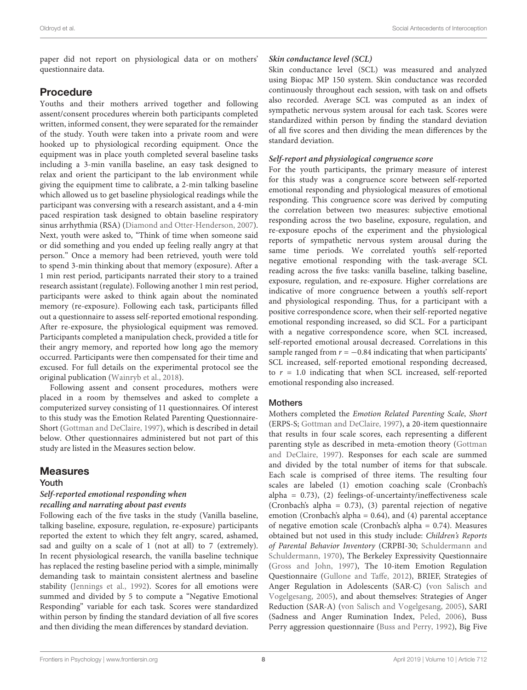paper did not report on physiological data or on mothers' questionnaire data.

# Procedure

Youths and their mothers arrived together and following assent/consent procedures wherein both participants completed written, informed consent, they were separated for the remainder of the study. Youth were taken into a private room and were hooked up to physiological recording equipment. Once the equipment was in place youth completed several baseline tasks including a 3-min vanilla baseline, an easy task designed to relax and orient the participant to the lab environment while giving the equipment time to calibrate, a 2-min talking baseline which allowed us to get baseline physiological readings while the participant was conversing with a research assistant, and a 4-min paced respiration task designed to obtain baseline respiratory sinus arrhythmia (RSA) [\(Diamond and Otter-Henderson,](#page-10-38) [2007\)](#page-10-38). Next, youth were asked to, "Think of time when someone said or did something and you ended up feeling really angry at that person." Once a memory had been retrieved, youth were told to spend 3-min thinking about that memory (exposure). After a 1 min rest period, participants narrated their story to a trained research assistant (regulate). Following another 1 min rest period, participants were asked to think again about the nominated memory (re-exposure). Following each task, participants filled out a questionnaire to assess self-reported emotional responding. After re-exposure, the physiological equipment was removed. Participants completed a manipulation check, provided a title for their angry memory, and reported how long ago the memory occurred. Participants were then compensated for their time and excused. For full details on the experimental protocol see the original publication [\(Wainryb et al.,](#page-12-7) [2018\)](#page-12-7).

Following assent and consent procedures, mothers were placed in a room by themselves and asked to complete a computerized survey consisting of 11 questionnaires. Of interest to this study was the Emotion Related Parenting Questionnaire-Short [\(Gottman and DeClaire,](#page-10-39) [1997\)](#page-10-39), which is described in detail below. Other questionnaires administered but not part of this study are listed in the Measures section below.

# **Measures**

## Youth

# **Self-reported emotional responding when recalling and narrating about past events**

Following each of the five tasks in the study (Vanilla baseline, talking baseline, exposure, regulation, re-exposure) participants reported the extent to which they felt angry, scared, ashamed, sad and guilty on a scale of 1 (not at all) to 7 (extremely). In recent physiological research, the vanilla baseline technique has replaced the resting baseline period with a simple, minimally demanding task to maintain consistent alertness and baseline stability [\(Jennings et al.,](#page-11-38) [1992\)](#page-11-38). Scores for all emotions were summed and divided by 5 to compute a "Negative Emotional Responding" variable for each task. Scores were standardized within person by finding the standard deviation of all five scores and then dividing the mean differences by standard deviation.

# **Skin conductance level (SCL)**

Skin conductance level (SCL) was measured and analyzed using Biopac MP 150 system. Skin conductance was recorded continuously throughout each session, with task on and offsets also recorded. Average SCL was computed as an index of sympathetic nervous system arousal for each task. Scores were standardized within person by finding the standard deviation of all five scores and then dividing the mean differences by the standard deviation.

# **Self-report and physiological congruence score**

For the youth participants, the primary measure of interest for this study was a congruence score between self-reported emotional responding and physiological measures of emotional responding. This congruence score was derived by computing the correlation between two measures: subjective emotional responding across the two baseline, exposure, regulation, and re-exposure epochs of the experiment and the physiological reports of sympathetic nervous system arousal during the same time periods. We correlated youth's self-reported negative emotional responding with the task-average SCL reading across the five tasks: vanilla baseline, talking baseline, exposure, regulation, and re-exposure. Higher correlations are indicative of more congruence between a youth's self-report and physiological responding. Thus, for a participant with a positive correspondence score, when their self-reported negative emotional responding increased, so did SCL. For a participant with a negative correspondence score, when SCL increased, self-reported emotional arousal decreased. Correlations in this sample ranged from  $r = -0.84$  indicating that when participants' SCL increased, self-reported emotional responding decreased, to  $r = 1.0$  indicating that when SCL increased, self-reported emotional responding also increased.

# **Mothers**

Mothers completed the Emotion Related Parenting Scale, Short (ERPS-S; [Gottman and DeClaire,](#page-10-39) [1997\)](#page-10-39), a 20-item questionnaire that results in four scale scores, each representing a different parenting style as described in meta-emotion theory [\(Gottman](#page-10-39) [and DeClaire,](#page-10-39) [1997\)](#page-10-39). Responses for each scale are summed and divided by the total number of items for that subscale. Each scale is comprised of three items. The resulting four scales are labeled (1) emotion coaching scale (Cronbach's alpha = 0.73), (2) feelings-of-uncertainty/ineffectiveness scale (Cronbach's alpha = 0.73), (3) parental rejection of negative emotion (Cronbach's alpha = 0.64), and (4) parental acceptance of negative emotion scale (Cronbach's alpha = 0.74). Measures obtained but not used in this study include: Children's Reports of Parental Behavior Inventory (CRPBI-30; [Schuldermann and](#page-11-39) [Schuldermann,](#page-11-39) [1970\)](#page-11-39), The Berkeley Expressivity Questionnaire [\(Gross and John,](#page-10-40) [1997\)](#page-10-40), The 10-item Emotion Regulation Questionnaire [\(Gullone and Taffe,](#page-10-41) [2012\)](#page-10-41), BRIEF, Strategies of Anger Regulation in Adolescents (SAR-C) [\(von Salisch and](#page-12-8) [Vogelgesang,](#page-12-8) [2005\)](#page-12-8), and about themselves: Strategies of Anger Reduction (SAR-A) [\(von Salisch and Vogelgesang,](#page-12-8) [2005\)](#page-12-8), SARI (Sadness and Anger Rumination Index, [Peled,](#page-11-40) [2006\)](#page-11-40), Buss Perry aggression questionnaire [\(Buss and Perry,](#page-10-42) [1992\)](#page-10-42), Big Five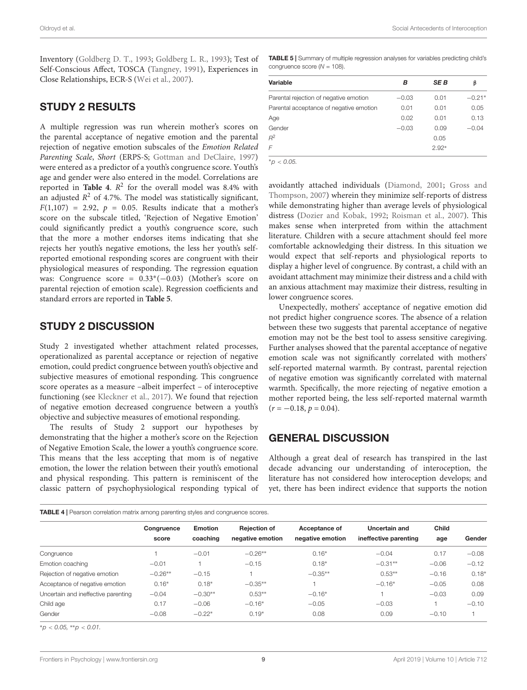Inventory [\(Goldberg D. T.,](#page-10-43) [1993;](#page-10-43) [Goldberg L. R.,](#page-10-44) [1993\)](#page-10-44); Test of Self-Conscious Affect, TOSCA [\(Tangney,](#page-12-9) [1991\)](#page-12-9), Experiences in Close Relationships, ECR-S [\(Wei et al.,](#page-12-5) [2007\)](#page-12-5).

# STUDY 2 RESULTS

A multiple regression was run wherein mother's scores on the parental acceptance of negative emotion and the parental rejection of negative emotion subscales of the Emotion Related Parenting Scale, Short (ERPS-S; [Gottman and DeClaire,](#page-10-39) [1997\)](#page-10-39) were entered as a predictor of a youth's congruence score. Youth's age and gender were also entered in the model. Correlations are reported in [Table 4](#page-8-0).  $R^2$  for the overall model was 8.4% with an adjusted  $R^2$  of 4.7%. The model was statistically significant,  $F(1,107) = 2.92$ ,  $p = 0.05$ . Results indicate that a mother's score on the subscale titled, 'Rejection of Negative Emotion' could significantly predict a youth's congruence score, such that the more a mother endorses items indicating that she rejects her youth's negative emotions, the less her youth's selfreported emotional responding scores are congruent with their physiological measures of responding. The regression equation was: Congruence score =  $0.33^*(-0.03)$  (Mother's score on parental rejection of emotion scale). Regression coefficients and standard errors are reported in **[Table 5](#page-8-1)**.

# STUDY 2 DISCUSSION

Study 2 investigated whether attachment related processes, operationalized as parental acceptance or rejection of negative emotion, could predict congruence between youth's objective and subjective measures of emotional responding. This congruence score operates as a measure –albeit imperfect – of interoceptive functioning (see [Kleckner et al.,](#page-11-36) [2017\)](#page-11-36). We found that rejection of negative emotion decreased congruence between a youth's objective and subjective measures of emotional responding.

The results of Study 2 support our hypotheses by demonstrating that the higher a mother's score on the Rejection of Negative Emotion Scale, the lower a youth's congruence score. This means that the less accepting that mom is of negative emotion, the lower the relation between their youth's emotional and physical responding. This pattern is reminiscent of the classic pattern of psychophysiological responding typical of

<span id="page-8-0"></span>TABLE 4 | Pearson correlation matrix among parenting styles and congruence scores.

<span id="page-8-1"></span>

| <b>TABLE 5</b> Summary of multiple regression analyses for variables predicting child's |  |
|-----------------------------------------------------------------------------------------|--|
| congruence score ( $N = 108$ ).                                                         |  |

| в       | <b>SEB</b> | β        |
|---------|------------|----------|
| $-0.03$ | 0.01       | $-0.21*$ |
| 0.01    | 0.01       | 0.05     |
| 0.02    | 0.01       | 0.13     |
| $-0.03$ | 0.09       | $-0.04$  |
|         | 0.05       |          |
|         | $2.92*$    |          |
|         |            |          |

 $*p < 0.05$ .

avoidantly attached individuals [\(Diamond,](#page-10-45) [2001;](#page-10-45) [Gross and](#page-10-46) [Thompson,](#page-10-46) [2007\)](#page-10-46) wherein they minimize self-reports of distress while demonstrating higher than average levels of physiological distress [\(Dozier and Kobak,](#page-10-9) [1992;](#page-10-9) [Roisman et al.,](#page-11-41) [2007\)](#page-11-41). This makes sense when interpreted from within the attachment literature. Children with a secure attachment should feel more comfortable acknowledging their distress. In this situation we would expect that self-reports and physiological reports to display a higher level of congruence. By contrast, a child with an avoidant attachment may minimize their distress and a child with an anxious attachment may maximize their distress, resulting in lower congruence scores.

Unexpectedly, mothers' acceptance of negative emotion did not predict higher congruence scores. The absence of a relation between these two suggests that parental acceptance of negative emotion may not be the best tool to assess sensitive caregiving. Further analyses showed that the parental acceptance of negative emotion scale was not significantly correlated with mothers' self-reported maternal warmth. By contrast, parental rejection of negative emotion was significantly correlated with maternal warmth. Specifically, the more rejecting of negative emotion a mother reported being, the less self-reported maternal warmth  $(r = -0.18, p = 0.04).$ 

# GENERAL DISCUSSION

Although a great deal of research has transpired in the last decade advancing our understanding of interoception, the literature has not considered how interoception develops; and yet, there has been indirect evidence that supports the notion

|                                     | <b>Congruence</b> | <b>Emotion</b> | <b>Rejection of</b> | Acceptance of<br>negative emotion | Uncertain and<br>ineffective parenting | <b>Child</b> |         |
|-------------------------------------|-------------------|----------------|---------------------|-----------------------------------|----------------------------------------|--------------|---------|
|                                     | score             | coaching       | negative emotion    |                                   |                                        | age          | Gender  |
| Congruence                          |                   | $-0.01$        | $-0.26**$           | $0.16*$                           | $-0.04$                                | 0.17         | $-0.08$ |
| Emotion coaching                    | $-0.01$           |                | $-0.15$             | $0.18*$                           | $-0.31**$                              | $-0.06$      | $-0.12$ |
| Rejection of negative emotion       | $-0.26**$         | $-0.15$        |                     | $-0.35**$                         | $0.53**$                               | $-0.16$      | $0.18*$ |
| Acceptance of negative emotion      | $0.16*$           | $0.18*$        | $-0.35**$           |                                   | $-0.16*$                               | $-0.05$      | 0.08    |
| Uncertain and ineffective parenting | $-0.04$           | $-0.30**$      | $0.53**$            | $-0.16*$                          |                                        | $-0.03$      | 0.09    |
| Child age                           | 0.17              | $-0.06$        | $-0.16*$            | $-0.05$                           | $-0.03$                                |              | $-0.10$ |
| Gender                              | $-0.08$           | $-0.22*$       | $0.19*$             | 0.08                              | 0.09                                   | $-0.10$      |         |
|                                     |                   |                |                     |                                   |                                        |              |         |

 $*_{p}$  < 0.05,  $*_{p}$  < 0.01.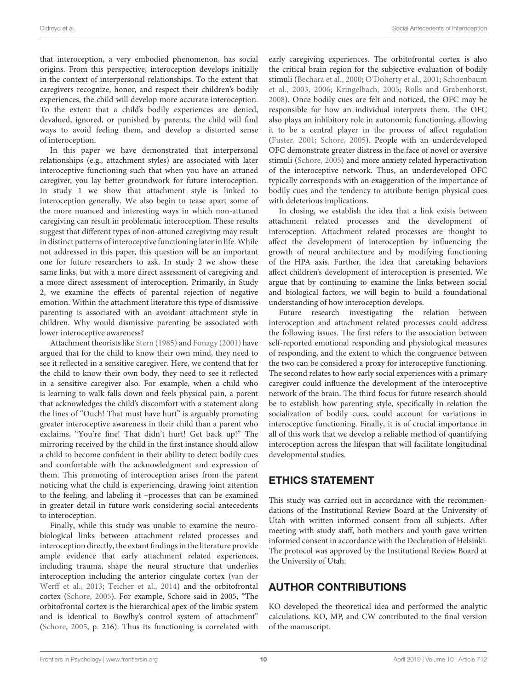that interoception, a very embodied phenomenon, has social origins. From this perspective, interoception develops initially in the context of interpersonal relationships. To the extent that caregivers recognize, honor, and respect their children's bodily experiences, the child will develop more accurate interoception. To the extent that a child's bodily experiences are denied, devalued, ignored, or punished by parents, the child will find ways to avoid feeling them, and develop a distorted sense of interoception.

In this paper we have demonstrated that interpersonal relationships (e.g., attachment styles) are associated with later interoceptive functioning such that when you have an attuned caregiver, you lay better groundwork for future interoception. In study 1 we show that attachment style is linked to interoception generally. We also begin to tease apart some of the more nuanced and interesting ways in which non-attuned caregiving can result in problematic interoception. These results suggest that different types of non-attuned caregiving may result in distinct patterns of interoceptive functioning later in life. While not addressed in this paper, this question will be an important one for future researchers to ask. In study 2 we show these same links, but with a more direct assessment of caregiving and a more direct assessment of interoception. Primarily, in Study 2, we examine the effects of parental rejection of negative emotion. Within the attachment literature this type of dismissive parenting is associated with an avoidant attachment style in children. Why would dismissive parenting be associated with lower interoceptive awareness?

Attachment theorists like [Stern](#page-11-37) [\(1985\)](#page-11-37) and [Fonagy](#page-10-47) [\(2001\)](#page-10-47) have argued that for the child to know their own mind, they need to see it reflected in a sensitive caregiver. Here, we contend that for the child to know their own body, they need to see it reflected in a sensitive caregiver also. For example, when a child who is learning to walk falls down and feels physical pain, a parent that acknowledges the child's discomfort with a statement along the lines of "Ouch! That must have hurt" is arguably promoting greater interoceptive awareness in their child than a parent who exclaims, "You're fine! That didn't hurt! Get back up!" The mirroring received by the child in the first instance should allow a child to become confident in their ability to detect bodily cues and comfortable with the acknowledgment and expression of them. This promoting of interoception arises from the parent noticing what the child is experiencing, drawing joint attention to the feeling, and labeling it –processes that can be examined in greater detail in future work considering social antecedents to interoception.

Finally, while this study was unable to examine the neurobiological links between attachment related processes and interoception directly, the extant findings in the literature provide ample evidence that early attachment related experiences, including trauma, shape the neural structure that underlies interoception including the anterior cingulate cortex [\(van der](#page-12-10) [Werff et al.,](#page-12-10) [2013;](#page-12-10) [Teicher et al.,](#page-12-11) [2014\)](#page-12-11) and the orbitofrontal cortex [\(Schore,](#page-11-42) [2005\)](#page-11-42). For example, Schore said in 2005, "The orbitofrontal cortex is the hierarchical apex of the limbic system and is identical to Bowlby's control system of attachment" [\(Schore,](#page-11-42) [2005,](#page-11-42) p. 216). Thus its functioning is correlated with

early caregiving experiences. The orbitofrontal cortex is also the critical brain region for the subjective evaluation of bodily stimuli [\(Bechara et al.,](#page-10-48) [2000;](#page-10-48) [O'Doherty et al.,](#page-11-43) [2001;](#page-11-43) [Schoenbaum](#page-11-44) [et al.,](#page-11-44) [2003,](#page-11-44) [2006;](#page-11-45) [Kringelbach,](#page-11-46) [2005;](#page-11-46) [Rolls and Grabenhorst,](#page-11-47) [2008\)](#page-11-47). Once bodily cues are felt and noticed, the OFC may be responsible for how an individual interprets them. The OFC also plays an inhibitory role in autonomic functioning, allowing it to be a central player in the process of affect regulation [\(Fuster,](#page-10-49) [2001;](#page-10-49) [Schore,](#page-11-42) [2005\)](#page-11-42). People with an underdeveloped OFC demonstrate greater distress in the face of novel or aversive stimuli [\(Schore,](#page-11-42) [2005\)](#page-11-42) and more anxiety related hyperactivation of the interoceptive network. Thus, an underdeveloped OFC typically corresponds with an exaggeration of the importance of bodily cues and the tendency to attribute benign physical cues with deleterious implications.

In closing, we establish the idea that a link exists between attachment related processes and the development of interoception. Attachment related processes are thought to affect the development of interoception by influencing the growth of neural architecture and by modifying functioning of the HPA axis. Further, the idea that caretaking behaviors affect children's development of interoception is presented. We argue that by continuing to examine the links between social and biological factors, we will begin to build a foundational understanding of how interoception develops.

Future research investigating the relation between interoception and attachment related processes could address the following issues. The first refers to the association between self-reported emotional responding and physiological measures of responding, and the extent to which the congruence between the two can be considered a proxy for interoceptive functioning. The second relates to how early social experiences with a primary caregiver could influence the development of the interoceptive network of the brain. The third focus for future research should be to establish how parenting style, specifically in relation the socialization of bodily cues, could account for variations in interoceptive functioning. Finally, it is of crucial importance in all of this work that we develop a reliable method of quantifying interoception across the lifespan that will facilitate longitudinal developmental studies.

# ETHICS STATEMENT

This study was carried out in accordance with the recommendations of the Institutional Review Board at the University of Utah with written informed consent from all subjects. After meeting with study staff, both mothers and youth gave written informed consent in accordance with the Declaration of Helsinki. The protocol was approved by the Institutional Review Board at the University of Utah.

# AUTHOR CONTRIBUTIONS

KO developed the theoretical idea and performed the analytic calculations. KO, MP, and CW contributed to the final version of the manuscript.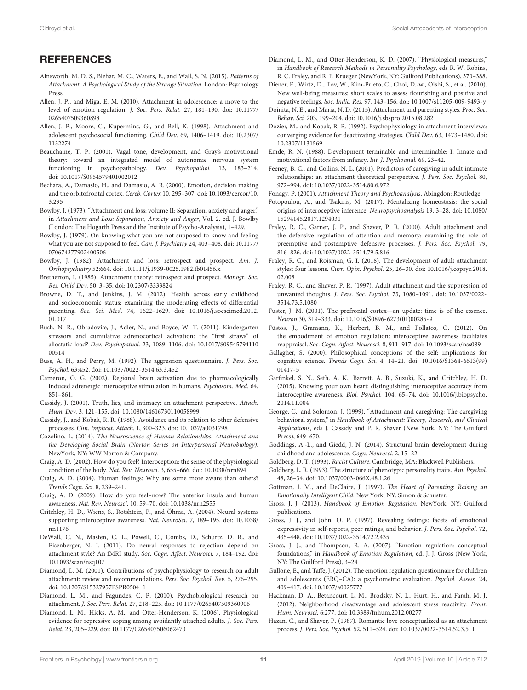# **REFERENCES**

- <span id="page-10-5"></span>Ainsworth, M. D. S., Blehar, M. C., Waters, E., and Wall, S. N. (2015). Patterns of Attachment: A Psychological Study of the Strange Situation. London: Psychology Press.
- <span id="page-10-12"></span>Allen, J. P., and Miga, E. M. (2010). Attachment in adolescence: a move to the level of emotion regulation. J. Soc. Pers. Relat. 27, 181–190. [doi: 10.1177/](https://doi.org/10.1177/0265407509360898) [0265407509360898](https://doi.org/10.1177/0265407509360898)
- <span id="page-10-31"></span>Allen, J. P., Moore, C., Kuperminc, G., and Bell, K. (1998). Attachment and adolescent psychosocial functioning. Child Dev. 69, 1406–1419. [doi: 10.2307/](https://doi.org/10.2307/1132274) [1132274](https://doi.org/10.2307/1132274)
- <span id="page-10-34"></span>Beauchaine, T. P. (2001). Vagal tone, development, and Gray's motivational theory: toward an integrated model of autonomie nervous system functioning in psychopathology. Dev. Psychopathol. 13, 183–214. [doi: 10.1017/S0954579401002012](https://doi.org/10.1017/S0954579401002012)
- <span id="page-10-48"></span>Bechara, A., Damasio, H., and Damasio, A. R. (2000). Emotion, decision making and the orbitofrontal cortex. Cereb. Cortex 10, 295–307. [doi: 10.1093/cercor/10.](https://doi.org/10.1093/cercor/10.3.295) [3.295](https://doi.org/10.1093/cercor/10.3.295)
- <span id="page-10-6"></span>Bowlby, J. (1973). "Attachment and loss: volume II: Separation, anxiety and anger," in Attachment and Loss: Separation, Anxiety and Anger, Vol. 2. ed. J. Bowlby (London: The Hogarth Press and the Institute of Psycho-Analysis), 1–429.
- <span id="page-10-10"></span>Bowlby, J. (1979). On knowing what you are not supposed to know and feeling what you are not supposed to feel. Can. J. Psychiatry 24, 403–408. [doi: 10.1177/](https://doi.org/10.1177/070674377902400506) [070674377902400506](https://doi.org/10.1177/070674377902400506)
- <span id="page-10-3"></span>Bowlby, J. (1982). Attachment and loss: retrospect and prospect. Am. J. Orthopsychiatry 52:664. [doi: 10.1111/j.1939-0025.1982.tb01456.x](https://doi.org/10.1111/j.1939-0025.1982.tb01456.x)
- <span id="page-10-7"></span>Bretherton, I. (1985). Attachment theory: retrospect and prospect. Monogr. Soc. Res. Child Dev. 50, 3–35. [doi: 10.2307/3333824](https://doi.org/10.2307/3333824)
- <span id="page-10-15"></span>Browne, D. T., and Jenkins, J. M. (2012). Health across early childhood and socioeconomic status: examining the moderating effects of differential parenting. Soc. Sci. Med. 74, 1622–1629. [doi: 10.1016/j.socscimed.2012.](https://doi.org/10.1016/j.socscimed.2012.01.017) [01.017](https://doi.org/10.1016/j.socscimed.2012.01.017)
- <span id="page-10-14"></span>Bush, N. R., Obradoviæ, J., Adler, N., and Boyce, W. T. (2011). Kindergarten stressors and cumulative adrenocortical activation: the "first straws" of allostatic load? Dev. Psychopathol. 23, 1089–1106. [doi: 10.1017/S09545794110](https://doi.org/10.1017/S0954579411000514) [00514](https://doi.org/10.1017/S0954579411000514)
- <span id="page-10-42"></span>Buss, A. H., and Perry, M. (1992). The aggression questionnaire. J. Pers. Soc. Psychol. 63:452. [doi: 10.1037/0022-3514.63.3.452](https://doi.org/10.1037/0022-3514.63.3.452)
- <span id="page-10-17"></span>Cameron, O. G. (2002). Regional brain activation due to pharmacologically induced adrenergic interoceptive stimulation in humans. Psychosom. Med. 64, 851–861.
- <span id="page-10-33"></span>Cassidy, J. (2001). Truth, lies, and intimacy: an attachment perspective. Attach. Hum. Dev. 3, 121–155. [doi: 10.1080/14616730110058999](https://doi.org/10.1080/14616730110058999)
- <span id="page-10-26"></span>Cassidy, J., and Kobak, R. R. (1988). Avoidance and its relation to other defensive processes. Clin. Implicat. Attach. 1, 300–323. [doi: 10.1037/a0031798](https://doi.org/10.1037/a0031798)
- <span id="page-10-21"></span>Cozolino, L. (2014). The Neuroscience of Human Relationships: Attachment and the Developing Social Brain (Norton Series on Interpersonal Neurobiology). NewYork, NY: WW Norton & Company.
- <span id="page-10-19"></span>Craig, A. D. (2002). How do you feel? Interoception: the sense of the physiological condition of the body. Nat. Rev. Neurosci. 3, 655–666. [doi: 10.1038/nrn894](https://doi.org/10.1038/nrn894)
- <span id="page-10-1"></span>Craig, A. D. (2004). Human feelings: Why are some more aware than others? Trends Cogn. Sci. 8, 239–241.
- <span id="page-10-23"></span>Craig, A. D. (2009). How do you feel–now? The anterior insula and human awareness. Nat. Rev. Neurosci. 10, 59–70. [doi: 10.1038/nrn2555](https://doi.org/10.1038/nrn2555)
- <span id="page-10-18"></span>Critchley, H. D., Wiens, S., Rotshtein, P., and Öhma, A. (2004). Neural systems supporting interoceptive awareness. Nat. NeuroSci. 7, 189–195. [doi: 10.1038/](https://doi.org/10.1038/nn1176) [nn1176](https://doi.org/10.1038/nn1176)
- <span id="page-10-24"></span>DeWall, C. N., Masten, C. L., Powell, C., Combs, D., Schurtz, D. R., and Eisenberger, N. I. (2011). Do neural responses to rejection depend on attachment style? An fMRI study. Soc. Cogn. Affect. Neurosci. 7, 184–192. [doi:](https://doi.org/10.1093/scan/nsq107) [10.1093/scan/nsq107](https://doi.org/10.1093/scan/nsq107)
- <span id="page-10-45"></span>Diamond, L. M. (2001). Contributions of psychophysiology to research on adult attachment: review and recommendations. Pers. Soc. Psychol. Rev. 5, 276–295. [doi: 10.1207/S15327957PSPR0504\\_1](https://doi.org/10.1207/S15327957PSPR0504_1)
- <span id="page-10-13"></span>Diamond, L. M., and Fagundes, C. P. (2010). Psychobiological research on attachment. J. Soc. Pers. Relat. 27, 218–225. [doi: 10.1177/0265407509360906](https://doi.org/10.1177/0265407509360906)
- <span id="page-10-29"></span>Diamond, L. M., Hicks, A. M., and Otter-Henderson, K. (2006). Physiological evidence for repressive coping among avoidantly attached adults. J. Soc. Pers. Relat. 23, 205–229. [doi: 10.1177/0265407506062470](https://doi.org/10.1177/0265407506062470)
- <span id="page-10-38"></span>Diamond, L. M., and Otter-Henderson, K. D. (2007). "Physiological measures," in Handbook of Research Methods in Personality Psychology, eds R. W. Robins, R. C. Fraley, and R. F. Krueger (NewYork, NY: Guilford Publications), 370–388.
- <span id="page-10-28"></span>Diener, E., Wirtz, D., Tov, W., Kim-Prieto, C., Choi, D.-w., Oishi, S., et al. (2010). New well-being measures: short scales to assess flourishing and positive and negative feelings. Soc. Indic. Res. 97, 143–156. [doi: 10.1007/s11205-009-9493-y](https://doi.org/10.1007/s11205-009-9493-y)
- <span id="page-10-35"></span>Doinita, N. E., and Maria, N. D. (2015). Attachment and parenting styles. Proc. Soc. Behav. Sci. 203, 199–204. [doi: 10.1016/j.sbspro.2015.08.282](https://doi.org/10.1016/j.sbspro.2015.08.282)
- <span id="page-10-9"></span>Dozier, M., and Kobak, R. R. (1992). Psychophysiology in attachment interviews: converging evidence for deactivating strategies. Child Dev. 63, 1473–1480. [doi:](https://doi.org/10.2307/1131569) [10.2307/1131569](https://doi.org/10.2307/1131569)
- <span id="page-10-22"></span>Emde, R. N. (1988). Development terminable and interminable: I. Innate and motivational factors from infancy. Int. J. Psychoanal. 69, 23–42.
- <span id="page-10-11"></span>Feeney, B. C., and Collins, N. L. (2001). Predictors of caregiving in adult intimate relationships: an attachment theoretical perspective. J. Pers. Soc. Psychol. 80, 972–994. [doi: 10.1037/0022-3514.80.6.972](https://doi.org/10.1037/0022-3514.80.6.972)
- <span id="page-10-47"></span>Fonagy, P. (2001). Attachment Theory and Psychoanalysis. Abingdon: Routledge.
- <span id="page-10-37"></span>Fotopoulou, A., and Tsakiris, M. (2017). Mentalizing homeostasis: the social origins of interoceptive inference. Neuropsychoanalysis 19, 3–28. [doi: 10.1080/](https://doi.org/10.1080/15294145.2017.1294031) [15294145.2017.1294031](https://doi.org/10.1080/15294145.2017.1294031)
- <span id="page-10-32"></span>Fraley, R. C., Garner, J. P., and Shaver, P. R. (2000). Adult attachment and the defensive regulation of attention and memory: examining the role of preemptive and postemptive defensive processes. J. Pers. Soc. Psychol. 79, 816–826. [doi: 10.1037/0022-3514.79.5.816](https://doi.org/10.1037/0022-3514.79.5.816)
- <span id="page-10-4"></span>Fraley, R. C., and Roisman, G. I. (2018). The development of adult attachment styles: four lessons. Curr. Opin. Psychol. 25, 26–30. [doi: 10.1016/j.copsyc.2018.](https://doi.org/10.1016/j.copsyc.2018.02.008) [02.008](https://doi.org/10.1016/j.copsyc.2018.02.008)
- <span id="page-10-30"></span>Fraley, R. C., and Shaver, P. R. (1997). Adult attachment and the suppression of unwanted thoughts. J. Pers. Soc. Psychol. 73, 1080–1091. [doi: 10.1037/0022-](https://doi.org/10.1037/0022-3514.73.5.1080) [3514.73.5.1080](https://doi.org/10.1037/0022-3514.73.5.1080)
- <span id="page-10-49"></span>Fuster, J. M. (2001). The prefrontal cortex—an update: time is of the essence. Neuron 30, 319–333. [doi: 10.1016/S0896-6273\(01\)00285-9](https://doi.org/10.1016/S0896-6273(01)00285-9)
- <span id="page-10-2"></span>Füstös, J., Gramann, K., Herbert, B. M., and Pollatos, O. (2012). On the embodiment of emotion regulation: interoceptive awareness facilitates reappraisal. Soc. Cogn. Affect. Neurosci. 8, 911–917. [doi: 10.1093/scan/nss089](https://doi.org/10.1093/scan/nss089)
- <span id="page-10-25"></span>Gallagher, S. (2000). Philosophical conceptions of the self: implications for cognitive science. Trends Cogn. Sci. 4, 14–21. [doi: 10.1016/S1364-6613\(99\)](https://doi.org/10.1016/S1364-6613(99)01417-5) [01417-5](https://doi.org/10.1016/S1364-6613(99)01417-5)
- <span id="page-10-0"></span>Garfinkel, S. N., Seth, A. K., Barrett, A. B., Suzuki, K., and Critchley, H. D. (2015). Knowing your own heart: distinguishing interoceptive accuracy from interoceptive awareness. Biol. Psychol. 104, 65–74. [doi: 10.1016/j.biopsycho.](https://doi.org/10.1016/j.biopsycho.2014.11.004) [2014.11.004](https://doi.org/10.1016/j.biopsycho.2014.11.004)
- <span id="page-10-36"></span>George, C., and Solomon, J. (1999). "Attachment and caregiving: The caregiving behavioral system," in Handbook of Attachment: Theory, Research, and Clinical Applications, eds J. Cassidy and P. R. Shaver (New York, NY: The Guilford Press), 649–670.
- <span id="page-10-20"></span>Goddings, A.-L., and Giedd, J. N. (2014). Structural brain development during childhood and adolescence. Cogn. Neurosci. 2, 15–22.
- <span id="page-10-43"></span>Goldberg, D. T. (1993). Racist Culture. Cambridge, MA: Blackwell Publishers.
- <span id="page-10-44"></span>Goldberg, L. R. (1993). The structure of phenotypic personality traits. Am. Psychol. 48, 26–34. [doi: 10.1037/0003-066X.48.1.26](https://doi.org/10.1037/0003-066X.48.1.26)
- <span id="page-10-39"></span>Gottman, J. M., and DeClaire, J. (1997). The Heart of Parenting: Raising an Emotionally Intelligent Child. New York, NY: Simon & Schuster.
- <span id="page-10-27"></span>Gross, J. J. (2013). Handbook of Emotion Regulation. NewYork, NY: Guilford publications.
- <span id="page-10-40"></span>Gross, J. J., and John, O. P. (1997). Revealing feelings: facets of emotional expressivity in self-reports, peer ratings, and behavior. J. Pers. Soc. Psychol. 72, 435–448. [doi: 10.1037/0022-3514.72.2.435](https://doi.org/10.1037/0022-3514.72.2.435)
- <span id="page-10-46"></span>Gross, J. J., and Thompson, R. A. (2007). "Emotion regulation: conceptual foundations," in Handbook of Emotion Regulation, ed. J. J. Gross (New York, NY: The Guilford Press), 3–24
- <span id="page-10-41"></span>Gullone, E., and Taffe, J. (2012). The emotion regulation questionnaire for children and adolescents (ERQ–CA): a psychometric evaluation. Psychol. Assess. 24, 409–417. [doi: 10.1037/a0025777](https://doi.org/10.1037/a0025777)
- <span id="page-10-16"></span>Hackman, D. A., Betancourt, L. M., Brodsky, N. L., Hurt, H., and Farah, M. J. (2012). Neighborhood disadvantage and adolescent stress reactivity. Front. Hum. Neurosci. 6:277. [doi: 10.3389/fnhum.2012.00277](https://doi.org/10.3389/fnhum.2012.00277)
- <span id="page-10-8"></span>Hazan, C., and Shaver, P. (1987). Romantic love conceptualized as an attachment process. J. Pers. Soc. Psychol. 52, 511–524. [doi: 10.1037/0022-3514.52.3.511](https://doi.org/10.1037/0022-3514.52.3.511)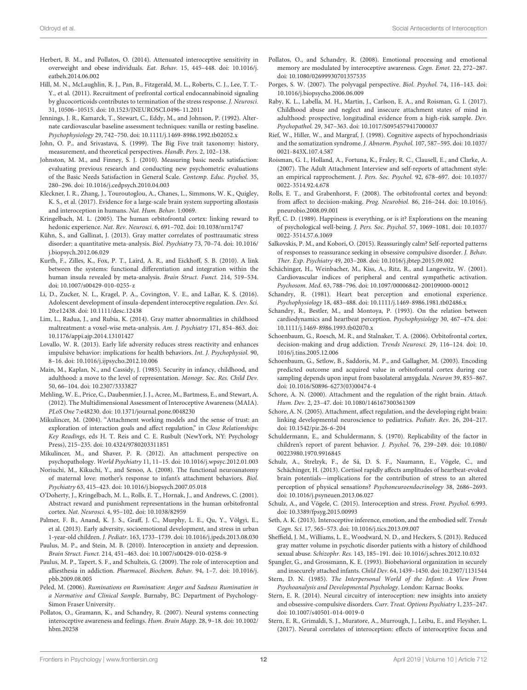- <span id="page-11-3"></span>Herbert, B. M., and Pollatos, O. (2014). Attenuated interoceptive sensitivity in overweight and obese individuals. Eat. Behav. 15, 445–448. [doi: 10.1016/j.](https://doi.org/10.1016/j.eatbeh.2014.06.002) [eatbeh.2014.06.002](https://doi.org/10.1016/j.eatbeh.2014.06.002)
- <span id="page-11-8"></span>Hill, M. N., McLaughlin, R. J., Pan, B., Fitzgerald, M. L., Roberts, C. J., Lee, T. T.- Y., et al. (2011). Recruitment of prefrontal cortical endocannabinoid signaling by glucocorticoids contributes to termination of the stress response. J. Neurosci. 31, 10506–10515. [doi: 10.1523/JNEUROSCI.0496-11.2011](https://doi.org/10.1523/JNEUROSCI.0496-11.2011)
- <span id="page-11-38"></span>Jennings, J. R., Kamarck, T., Stewart, C., Eddy, M., and Johnson, P. (1992). Alternate cardiovascular baseline assessment techniques: vanilla or resting baseline. Psychophysiology 29, 742–750. [doi: 10.1111/j.1469-8986.1992.tb02052.x](https://doi.org/10.1111/j.1469-8986.1992.tb02052.x)
- <span id="page-11-30"></span>John, O. P., and Srivastava, S. (1999). The Big Five trait taxonomy: history, measurement, and theoretical perspectives. Handb. Pers. 2, 102–138.
- <span id="page-11-28"></span>Johnston, M. M., and Finney, S. J. (2010). Measuring basic needs satisfaction: evaluating previous research and conducting new psychometric evaluations of the Basic Needs Satisfaction in General Scale. Contemp. Educ. Psychol. 35, 280–296. [doi: 10.1016/j.cedpsych.2010.04.003](https://doi.org/10.1016/j.cedpsych.2010.04.003)
- <span id="page-11-36"></span>Kleckner, I. R., Zhang, J., Touroutoglou, A., Chanes, L., Simmons, W. K., Quigley, K. S., et al. (2017). Evidence for a large-scale brain system supporting allostasis and interoception in humans. Nat. Hum. Behav. 1:0069.
- <span id="page-11-46"></span>Kringelbach, M. L. (2005). The human orbitofrontal cortex: linking reward to hedonic experience. Nat. Rev. Neurosci. 6, 691–702. [doi: 10.1038/nrn1747](https://doi.org/10.1038/nrn1747)
- <span id="page-11-21"></span>Kühn, S., and Gallinat, J. (2013). Gray matter correlates of posttraumatic stress disorder: a quantitative meta-analysis. Biol. Psychiatry 73, 70–74. [doi: 10.1016/](https://doi.org/10.1016/j.biopsych.2012.06.029) [j.biopsych.2012.06.029](https://doi.org/10.1016/j.biopsych.2012.06.029)
- <span id="page-11-20"></span>Kurth, F., Zilles, K., Fox, P. T., Laird, A. R., and Eickhoff, S. B. (2010). A link between the systems: functional differentiation and integration within the human insula revealed by meta-analysis. Brain Struct. Funct. 214, 519–534. [doi: 10.1007/s00429-010-0255-z](https://doi.org/10.1007/s00429-010-0255-z)
- <span id="page-11-5"></span>Li, D., Zucker, N. L., Kragel, P. A., Covington, V. E., and LaBar, K. S. (2016). Adolescent development of insula-dependent interoceptive regulation. Dev. Sci. 20:e12438. [doi: 10.1111/desc.12438](https://doi.org/10.1111/desc.12438)
- <span id="page-11-23"></span>Lim, L., Radua, J., and Rubia, K. (2014). Gray matter abnormalities in childhood maltreatment: a voxel-wise meta-analysis. Am. J. Psychiatry 171, 854–863. [doi:](https://doi.org/10.1176/appi.ajp.2014.13101427) [10.1176/appi.ajp.2014.13101427](https://doi.org/10.1176/appi.ajp.2014.13101427)
- <span id="page-11-9"></span>Lovallo, W. R. (2013). Early life adversity reduces stress reactivity and enhances impulsive behavior: implications for health behaviors. Int. J. Psychophysiol. 90, 8–16. [doi: 10.1016/j.ijpsycho.2012.10.006](https://doi.org/10.1016/j.ijpsycho.2012.10.006)
- <span id="page-11-6"></span>Main, M., Kaplan, N., and Cassidy, J. (1985). Security in infancy, childhood, and adulthood: a move to the level of representation. Monogr. Soc. Res. Child Dev. 50, 66–104. [doi: 10.2307/3333827](https://doi.org/10.2307/3333827)
- <span id="page-11-26"></span>Mehling, W. E., Price, C., Daubenmier, J. J., Acree, M., Bartmess, E., and Stewart, A. (2012). The Multidimensional Assessment of Interoceptive Awareness (MAIA). PLoS One 7:e48230. [doi: 10.1371/journal.pone.0048230](https://doi.org/10.1371/journal.pone.0048230)
- <span id="page-11-34"></span>Mikulincer, M. (2004). "Attachment working models and the sense of trust: an exploration of interaction goals and affect regulation," in Close Relationships: Key Readings, eds H. T. Reis and C. E. Rusbult (NewYork, NY: Psychology Press), 215–235. [doi: 10.4324/9780203311851](https://doi.org/10.4324/9780203311851)
- <span id="page-11-24"></span>Mikulincer, M., and Shaver, P. R. (2012). An attachment perspective on psychopathology. World Psychiatry 11, 11–15. [doi: 10.1016/j.wpsyc.2012.01.003](https://doi.org/10.1016/j.wpsyc.2012.01.003)
- <span id="page-11-31"></span>Noriuchi, M., Kikuchi, Y., and Senoo, A. (2008). The functional neuroanatomy of maternal love: mother's response to infant's attachment behaviors. Biol. Psychiatry 63, 415–423. [doi: 10.1016/j.biopsych.2007.05.018](https://doi.org/10.1016/j.biopsych.2007.05.018)
- <span id="page-11-43"></span>O'Doherty, J., Kringelbach, M. L., Rolls, E. T., Hornak, J., and Andrews, C. (2001). Abstract reward and punishment representations in the human orbitofrontal cortex. Nat. Neurosci. 4, 95–102. [doi: 10.1038/82959](https://doi.org/10.1038/82959)
- <span id="page-11-10"></span>Palmer, F. B., Anand, K. J. S., Graff, J. C., Murphy, L. E., Qu, Y., Völgyi, E., et al. (2013). Early adversity, socioemotional development, and stress in urban 1-year-old children. J. Pediatr. 163, 1733–1739. [doi: 10.1016/j.jpeds.2013.08.030](https://doi.org/10.1016/j.jpeds.2013.08.030)
- <span id="page-11-14"></span>Paulus, M. P., and Stein, M. B. (2010). Interoception in anxiety and depression. Brain Struct. Funct. 214, 451–463. [doi: 10.1007/s00429-010-0258-9](https://doi.org/10.1007/s00429-010-0258-9)
- <span id="page-11-2"></span>Paulus, M. P., Tapert, S. F., and Schulteis, G. (2009). The role of interoception and alliesthesia in addiction. Pharmacol. Biochem. Behav. 94, 1–7. [doi: 10.1016/j.](https://doi.org/10.1016/j.pbb.2009.08.005) [pbb.2009.08.005](https://doi.org/10.1016/j.pbb.2009.08.005)
- <span id="page-11-40"></span>Peled, M. (2006). Ruminations on Rumination: Anger and Sadness Rumination in a Normative and Clinical Sample. Burnaby, BC: Department of Psychology-Simon Fraser University.
- <span id="page-11-17"></span>Pollatos, O., Gramann, K., and Schandry, R. (2007). Neural systems connecting interoceptive awareness and feelings. Hum. Brain Mapp. 28, 9–18. [doi: 10.1002/](https://doi.org/10.1002/hbm.20258) [hbm.20258](https://doi.org/10.1002/hbm.20258)
- <span id="page-11-1"></span><span id="page-11-0"></span>Pollatos, O., and Schandry, R. (2008). Emotional processing and emotional memory are modulated by interoceptive awareness. Cogn. Emot. 22, 272–287. [doi: 10.1080/02699930701357535](https://doi.org/10.1080/02699930701357535)
- <span id="page-11-35"></span>Porges, S. W. (2007). The polyvagal perspective. Biol. Psychol. 74, 116–143. [doi:](https://doi.org/10.1016/j.biopsycho.2006.06.009) [10.1016/j.biopsycho.2006.06.009](https://doi.org/10.1016/j.biopsycho.2006.06.009)
- <span id="page-11-7"></span>Raby, K. L., Labella, M. H., Martin, J., Carlson, E. A., and Roisman, G. I. (2017). Childhood abuse and neglect and insecure attachment states of mind in adulthood: prospective, longitudinal evidence from a high-risk sample. Dev. Psychopathol. 29, 347–363. [doi: 10.1017/S0954579417000037](https://doi.org/10.1017/S0954579417000037)
- <span id="page-11-15"></span>Rief, W., Hiller, W., and Margraf, J. (1998). Cognitive aspects of hypochondriasis and the somatization syndrome. J. Abnorm. Psychol. 107, 587–595. [doi: 10.1037/](https://doi.org/10.1037/0021-843X.107.4.587) [0021-843X.107.4.587](https://doi.org/10.1037/0021-843X.107.4.587)
- <span id="page-11-41"></span>Roisman, G. I., Holland, A., Fortuna, K., Fraley, R. C., Clausell, E., and Clarke, A. (2007). The Adult Attachment Interview and self-reports of attachment style: an empirical rapprochement. J. Pers. Soc. Psychol. 92, 678–697. [doi: 10.1037/](https://doi.org/10.1037/0022-3514.92.4.678) [0022-3514.92.4.678](https://doi.org/10.1037/0022-3514.92.4.678)
- <span id="page-11-47"></span>Rolls, E. T., and Grabenhorst, F. (2008). The orbitofrontal cortex and beyond: from affect to decision-making. Prog. Neurobiol. 86, 216–244. [doi: 10.1016/j.](https://doi.org/10.1016/j.pneurobio.2008.09.001) [pneurobio.2008.09.001](https://doi.org/10.1016/j.pneurobio.2008.09.001)
- <span id="page-11-29"></span>Ryff, C. D. (1989). Happiness is everything, or is it? Explorations on the meaning of psychological well-being. J. Pers. Soc. Psychol. 57, 1069–1081. [doi: 10.1037/](https://doi.org/10.1037/0022-3514.57.6.1069) [0022-3514.57.6.1069](https://doi.org/10.1037/0022-3514.57.6.1069)
- <span id="page-11-32"></span>Salkovskis, P. M., and Kobori, O. (2015). Reassuringly calm? Self-reported patterns of responses to reassurance seeking in obsessive compulsive disorder. J. Behav. Ther. Exp. Psychiatry 49, 203–208. [doi: 10.1016/j.jbtep.2015.09.002](https://doi.org/10.1016/j.jbtep.2015.09.002)
- <span id="page-11-12"></span>Schächinger, H., Weinbacher, M., Kiss, A., Ritz, R., and Langewitz, W. (2001). Cardiovascular indices of peripheral and central sympathetic activation. Psychosom. Med. 63, 788–796. [doi: 10.1097/00006842-200109000-00012](https://doi.org/10.1097/00006842-200109000-00012)
- <span id="page-11-25"></span>Schandry, R. (1981). Heart beat perception and emotional experience. Psychophysiology 18, 483–488. [doi: 10.1111/j.1469-8986.1981.tb02486.x](https://doi.org/10.1111/j.1469-8986.1981.tb02486.x)
- <span id="page-11-13"></span>Schandry, R., Bestler, M., and Montoya, P. (1993). On the relation between cardiodynamics and heartbeat perception. Psychophysiology 30, 467–474. [doi:](https://doi.org/10.1111/j.1469-8986.1993.tb02070.x) [10.1111/j.1469-8986.1993.tb02070.x](https://doi.org/10.1111/j.1469-8986.1993.tb02070.x)
- <span id="page-11-45"></span>Schoenbaum, G., Roesch, M. R., and Stalnaker, T. A. (2006). Orbitofrontal cortex, decision-making and drug addiction. Trends Neurosci. 29, 116–124. [doi: 10.](https://doi.org/10.1016/j.tins.2005.12.006) [1016/j.tins.2005.12.006](https://doi.org/10.1016/j.tins.2005.12.006)
- <span id="page-11-44"></span>Schoenbaum, G., Setlow, B., Saddoris, M. P., and Gallagher, M. (2003). Encoding predicted outcome and acquired value in orbitofrontal cortex during cue sampling depends upon input from basolateral amygdala. Neuron 39, 855–867. [doi: 10.1016/S0896-6273\(03\)00474-4](https://doi.org/10.1016/S0896-6273(03)00474-4)
- <span id="page-11-19"></span>Schore, A. N. (2000). Attachment and the regulation of the right brain. Attach. Hum. Dev. 2, 23–47. [doi: 10.1080/146167300361309](https://doi.org/10.1080/146167300361309)
- <span id="page-11-42"></span>Schore, A. N. (2005). Attachment, affect regulation, and the developing right brain: linking developmental neuroscience to pediatrics. Pediatr. Rev. 26, 204–217. [doi: 10.1542/pir.26-6-204](https://doi.org/10.1542/pir.26-6-204)
- <span id="page-11-39"></span>Schuldermann, E., and Schuldermann, S. (1970). Replicability of the factor in children's report of parent behavior. J. Psychol. 76, 239–249. [doi: 10.1080/](https://doi.org/10.1080/00223980.1970.9916845) [00223980.1970.9916845](https://doi.org/10.1080/00223980.1970.9916845)
- <span id="page-11-16"></span>Schulz, A., Strelzyk, F., de Sá, D. S. F., Naumann, E., Vögele, C., and Schächinger, H. (2013). Cortisol rapidly affects amplitudes of heartbeat-evoked brain potentials—implications for the contribution of stress to an altered perception of physical sensations? Psychoneuroendocrinology 38, 2686–2693. [doi: 10.1016/j.psyneuen.2013.06.027](https://doi.org/10.1016/j.psyneuen.2013.06.027)
- <span id="page-11-18"></span>Schulz, A., and Vögele, C. (2015). Interoception and stress. Front. Psychol. 6:993. [doi: 10.3389/fpsyg.2015.00993](https://doi.org/10.3389/fpsyg.2015.00993)
- <span id="page-11-11"></span>Seth, A. K. (2013). Interoceptive inference, emotion, and the embodied self. Trends Cogn. Sci. 17, 565–573. [doi: 10.1016/j.tics.2013.09.007](https://doi.org/10.1016/j.tics.2013.09.007)
- <span id="page-11-22"></span>Sheffield, J. M., Williams, L. E., Woodward, N. D., and Heckers, S. (2013). Reduced gray matter volume in psychotic disorder patients with a history of childhood sexual abuse. Schizophr. Res. 143, 185–191. [doi: 10.1016/j.schres.2012.10.032](https://doi.org/10.1016/j.schres.2012.10.032)
- <span id="page-11-33"></span>Spangler, G., and Grossmann, K. E. (1993). Biobehavioral organization in securely and insecurely attached infants. Child Dev. 64, 1439–1450. [doi: 10.2307/1131544](https://doi.org/10.2307/1131544)
- <span id="page-11-37"></span>Stern, D. N. (1985). The Interpersonal World of the Infant: A View From Psychoanalysis and Developmental Psychology. London: Karnac Books.
- <span id="page-11-4"></span>Stern, E. R. (2014). Neural circuitry of interoception: new insights into anxiety and obsessive-compulsive disorders. Curr. Treat. Options Psychiatry 1, 235–247. [doi: 10.1007/s40501-014-0019-0](https://doi.org/10.1007/s40501-014-0019-0)
- <span id="page-11-27"></span>Stern, E. R., Grimaldi, S. J., Muratore, A., Murrough, J., Leibu, E., and Fleysher, L. (2017). Neural correlates of interoception: effects of interoceptive focus and